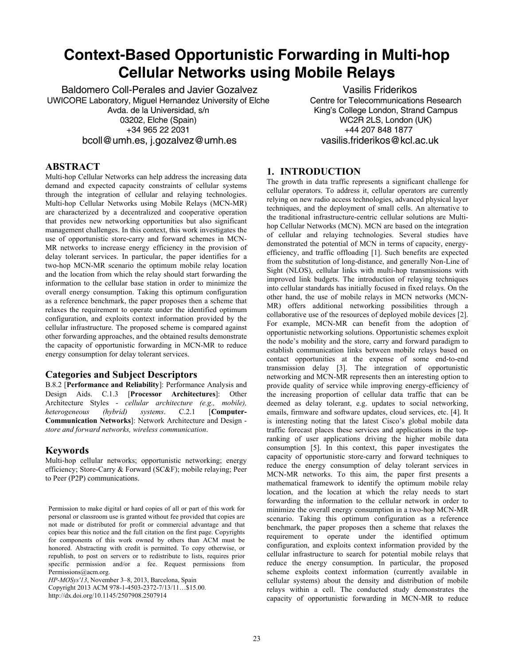# **Context-Based Opportunistic Forwarding in Multi-hop Cellular Networks using Mobile Relays**

Baldomero Coll-Perales and Javier Gozalvez UWICORE Laboratory, Miguel Hernandez University of Elche Avda. de la Universidad, s/n 03202, Elche (Spain) +34 965 22 2031 bcoll@umh.es, j.gozalvez@umh.es

Vasilis Friderikos Centre for Telecommunications Research King's College London, Strand Campus WC2R 2LS, London (UK) +44 207 848 1877 vasilis.friderikos@kcl.ac.uk

## **ABSTRACT**

Multi-hop Cellular Networks can help address the increasing data demand and expected capacity constraints of cellular systems through the integration of cellular and relaying technologies. Multi-hop Cellular Networks using Mobile Relays (MCN-MR) are characterized by a decentralized and cooperative operation that provides new networking opportunities but also significant management challenges. In this context, this work investigates the use of opportunistic store-carry and forward schemes in MCN-MR networks to increase energy efficiency in the provision of delay tolerant services. In particular, the paper identifies for a two-hop MCN-MR scenario the optimum mobile relay location and the location from which the relay should start forwarding the information to the cellular base station in order to minimize the overall energy consumption. Taking this optimum configuration as a reference benchmark, the paper proposes then a scheme that relaxes the requirement to operate under the identified optimum configuration, and exploits context information provided by the cellular infrastructure. The proposed scheme is compared against other forwarding approaches, and the obtained results demonstrate the capacity of opportunistic forwarding in MCN-MR to reduce energy consumption for delay tolerant services.

### **Categories and Subject Descriptors**

B.8.2 [**Performance and Reliability**]: Performance Analysis and Design Aids. C.1.3 [**Processor Architectures**]: Other Architecture Styles - *cellular architecture (e.g., mobile), heterogeneous (hybrid) systems*. C.2.1 [**Computer-Communication Networks**]: Network Architecture and Design *store and forward networks, wireless communication*.

## **Keywords**

Multi-hop cellular networks; opportunistic networking; energy efficiency; Store-Carry & Forward (SC&F); mobile relaying; Peer to Peer (P2P) communications.

Permission to make digital or hard copies of all or part of this work for personal or classroom use is granted without fee provided that copies are not made or distributed for profit or commercial advantage and that copies bear this notice and the full citation on the first page. Copyrights for components of this work owned by others than ACM must be honored. Abstracting with credit is permitted. To copy otherwise, or republish, to post on servers or to redistribute to lists, requires prior specific permission and/or a fee. Request permissions from Permissions@acm.org.

*HP-MOSys'13*, November 3–8, 2013, Barcelona, Spain

Copyright 2013 ACM 978-1-4503-2372-7/13/11…\$15.00.

http://dx.doi.org/10.1145/2507908.2507914

# **1. INTRODUCTION**

The growth in data traffic represents a significant challenge for cellular operators. To address it, cellular operators are currently relying on new radio access technologies, advanced physical layer techniques, and the deployment of small cells. An alternative to the traditional infrastructure-centric cellular solutions are Multihop Cellular Networks (MCN). MCN are based on the integration of cellular and relaying technologies. Several studies have demonstrated the potential of MCN in terms of capacity, energyefficiency, and traffic offloading [1]. Such benefits are expected from the substitution of long-distance, and generally Non-Line of Sight (NLOS), cellular links with multi-hop transmissions with improved link budgets. The introduction of relaying techniques into cellular standards has initially focused in fixed relays. On the other hand, the use of mobile relays in MCN networks (MCN-MR) offers additional networking possibilities through a collaborative use of the resources of deployed mobile devices [2]. For example, MCN-MR can benefit from the adoption of opportunistic networking solutions. Opportunistic schemes exploit the node's mobility and the store, carry and forward paradigm to establish communication links between mobile relays based on contact opportunities at the expense of some end-to-end transmission delay [3]. The integration of opportunistic networking and MCN-MR represents then an interesting option to provide quality of service while improving energy-efficiency of the increasing proportion of cellular data traffic that can be deemed as delay tolerant, e.g. updates to social networking, emails, firmware and software updates, cloud services, etc. [4]. It is interesting noting that the latest Cisco's global mobile data traffic forecast places these services and applications in the topranking of user applications driving the higher mobile data consumption [5]. In this context, this paper investigates the capacity of opportunistic store-carry and forward techniques to reduce the energy consumption of delay tolerant services in MCN-MR networks. To this aim, the paper first presents a mathematical framework to identify the optimum mobile relay location, and the location at which the relay needs to start forwarding the information to the cellular network in order to minimize the overall energy consumption in a two-hop MCN-MR scenario. Taking this optimum configuration as a reference benchmark, the paper proposes then a scheme that relaxes the requirement to operate under the identified optimum configuration, and exploits context information provided by the cellular infrastructure to search for potential mobile relays that reduce the energy consumption. In particular, the proposed scheme exploits context information (currently available in cellular systems) about the density and distribution of mobile relays within a cell. The conducted study demonstrates the capacity of opportunistic forwarding in MCN-MR to reduce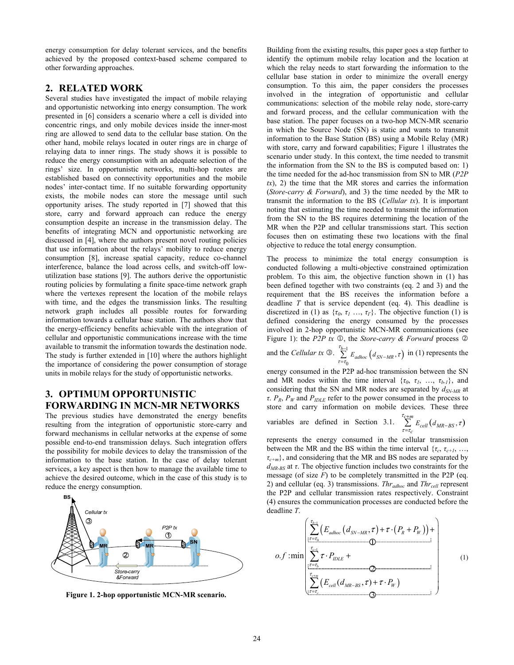energy consumption for delay tolerant services, and the benefits achieved by the proposed context-based scheme compared to other forwarding approaches.

#### **2. RELATED WORK**

Several studies have investigated the impact of mobile relaying and opportunistic networking into energy consumption. The work presented in [6] considers a scenario where a cell is divided into concentric rings, and only mobile devices inside the inner-most ring are allowed to send data to the cellular base station. On the other hand, mobile relays located in outer rings are in charge of relaying data to inner rings. The study shows it is possible to reduce the energy consumption with an adequate selection of the rings' size. In opportunistic networks, multi-hop routes are established based on connectivity opportunities and the mobile nodes' inter-contact time. If no suitable forwarding opportunity exists, the mobile nodes can store the message until such opportunity arises. The study reported in [7] showed that this store, carry and forward approach can reduce the energy consumption despite an increase in the transmission delay. The benefits of integrating MCN and opportunistic networking are discussed in [4], where the authors present novel routing policies that use information about the relays' mobility to reduce energy consumption [8], increase spatial capacity, reduce co-channel interference, balance the load across cells, and switch-off lowutilization base stations [9]. The authors derive the opportunistic routing policies by formulating a finite space-time network graph where the vertexes represent the location of the mobile relays with time, and the edges the transmission links. The resulting network graph includes all possible routes for forwarding information towards a cellular base station. The authors show that the energy-efficiency benefits achievable with the integration of cellular and opportunistic communications increase with the time available to transmit the information towards the destination node. The study is further extended in [10] where the authors highlight the importance of considering the power consumption of storage units in mobile relays for the study of opportunistic networks.

# **3. OPTIMUM OPPORTUNISTIC FORWARDING IN MCN-MR NETWORKS**

The previous studies have demonstrated the energy benefits resulting from the integration of opportunistic store-carry and forward mechanisms in cellular networks at the expense of some possible end-to-end transmission delays. Such integration offers the possibility for mobile devices to delay the transmission of the information to the base station. In the case of delay tolerant services, a key aspect is then how to manage the available time to achieve the desired outcome, which in the case of this study is to reduce the energy consumption.



**Figure 1. 2-hop opportunistic MCN-MR scenario.** 

Building from the existing results, this paper goes a step further to identify the optimum mobile relay location and the location at which the relay needs to start forwarding the information to the cellular base station in order to minimize the overall energy consumption. To this aim, the paper considers the processes involved in the integration of opportunistic and cellular communications: selection of the mobile relay node, store-carry and forward process, and the cellular communication with the base station. The paper focuses on a two-hop MCN-MR scenario in which the Source Node (SN) is static and wants to transmit information to the Base Station (BS) using a Mobile Relay (MR) with store, carry and forward capabilities; Figure 1 illustrates the scenario under study. In this context, the time needed to transmit the information from the SN to the BS is computed based on: 1) the time needed for the ad-hoc transmission from SN to MR (*P2P*   $tx$ ), 2) the time that the MR stores and carries the information (*Store-carry & Forward*), and 3) the time needed by the MR to transmit the information to the BS (*Cellular tx*). It is important noting that estimating the time needed to transmit the information from the SN to the BS requires determining the location of the MR when the P2P and cellular transmissions start. This section focuses then on estimating these two locations with the final objective to reduce the total energy consumption.

The process to minimize the total energy consumption is conducted following a multi-objective constrained optimization problem. To this aim, the objective function shown in (1) has been defined together with two constraints (eq. 2 and 3) and the requirement that the BS receives the information before a deadline *T* that is service dependent (eq. 4). This deadline is discretized in (1) as  $\{\tau_0, \tau_1, \ldots, \tau_r\}$ . The objective function (1) is defined considering the energy consumed by the processes involved in 2-hop opportunistic MCN-MR communications (see Figure 1): the *P2P*  $tx \text{ } \textcircled{1}$ , the *Store-carry & Forward* process  $\textcircled{2}$ 

and the *Cellular tx* 
$$
\bigcirc
$$
.  $\sum_{\tau=\tau_0}^{\tau_{b-1}} E_{adhoc} (d_{SN-MR}, \tau)$  in (1) represents the

energy consumed in the P2P ad-hoc transmission between the SN and MR nodes within the time interval  $\{\tau_0, \tau_1, \ldots, \tau_{b-1}\}$ , and considering that the SN and MR nodes are separated by  $d_{SN-MR}$  at *τ*.  $P_R$ ,  $P_W$  and  $P_{IDLE}$  refer to the power consumed in the process to store and carry information on mobile devices. These three

variables are defined in Section 3.1. 
$$
\sum_{\tau=\tau_c}^{\tau_{c+m}} E_{cell}(d_{MR-BS}, \tau)
$$

represents the energy consumed in the cellular transmission between the MR and the BS within the time interval  $\{\tau_c, \tau_{c+1}, \ldots, \tau_{c+n} \}$ *τc+m*}, and considering that the MR and BS nodes are separated by *dMR-BS* at *τ*. The objective function includes two constraints for the message (of size  $F$ ) to be completely transmitted in the P2P (eq. 2) and cellular (eq. 3) transmissions. *Thr*<sub>adhoc</sub> and *Thr*<sub>cell</sub> represent the P2P and cellular transmission rates respectively. Constraint (4) ensures the communication processes are conducted before the deadline *T*.

$$
o.f: \min\left(\sum_{\substack{\tau= \tau_0,\ldots,\tau_r\\ \tau=\tau_r,\ldots,\tau_r\\ \tau=\tau_r,\ldots,\tau_r\\ \vdots\\ \tau_{\text{c}}\in \tau_r\\ \vdots\\ \tau_{\text{c}}\in \mathbb{Z}}} (E_{\text{cal0}}(d_{\text{SN-MR}},\tau)+\tau\cdot(P_{\text{R}}+P_{\text{W}})) + \newline O\left(\sum_{\tau= \tau_0,\ldots,\tau_r\in \mathbb{Z}}\tau\cdot P_{\text{RUE}}+ \newline O\left(\sum_{\tau= \tau_1,\ldots,\tau_r\in \mathbb{Z}}\tau\cdot P_{\text{RUE}}\right)\right) \right) \tag{1}
$$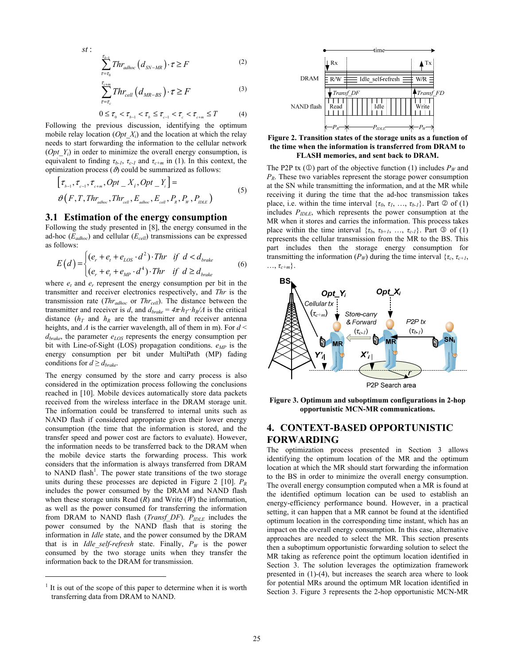$$
st: \sum_{\tau=\tau_0}^{\tau_{b-1}} Thr_{adhoc} \left( d_{SN-MR} \right) \cdot \tau \ge F \tag{2}
$$

$$
\sum_{\tau=\tau_c}^{\tau_{c+m}} Thr_{cell}(d_{MR-BS}) \cdot \tau \ge F \tag{3}
$$

$$
0 \le \tau_{0} < \tau_{b-1} < \tau_{b} \le \tau_{c-1} < \tau_{c} < \tau_{c+m} \le T \tag{4}
$$

Following the previous discussion, identifying the optimum mobile relay location (*Opt\_Xi*) and the location at which the relay needs to start forwarding the information to the cellular network (*Opt Y<sub>i</sub>*) in order to minimize the overall energy consumption, is equivalent to finding  $\tau_{b-l}$ ,  $\tau_{c-l}$  and  $\tau_{c+m}$  in (1). In this context, the optimization process  $(\vartheta)$  could be summarized as follows:

$$
[\tau_{b-1}, \tau_{c-1}, \tau_{c+m}, Opt\_X_i, Opt\_Y_i] =
$$
  
\n
$$
\vartheta(F, T, Thr_{\text{adloc}}, Thr_{\text{cell}}, E_{\text{adloc}}, E_{\text{cell}}, P_R, P_W, P_{\text{IDE}})
$$
\n(5)

#### **3.1 Estimation of the energy consumption**

Following the study presented in [8], the energy consumed in the ad-hoc  $(E_{adhoc})$  and cellular  $(E_{cell})$  transmissions can be expressed as follows:

$$
E(d) = \begin{cases} (e_r + e_t + e_{LOS} \cdot d^2) \cdot Thr & \text{if } d < d_{brake} \\ (e_r + e_t + e_{MP} \cdot d^4) \cdot Thr & \text{if } d \ge d_{brake} \end{cases}
$$
 (6)

where  $e_t$  and  $e_r$  represent the energy consumption per bit in the transmitter and receiver electronics respectively, and *Thr* is the transmission rate (*Thr<sub>adhoc</sub>* or *Thr<sub>cell</sub>*). The distance between the transmitter and receiver is *d*, and  $d_{brake} = 4\pi h_T \cdot h_R/A$  is the critical distance  $(h_T$  and  $h_R$  are the transmitter and receiver antenna heights, and *Λ* is the carrier wavelength, all of them in m). For *d* <  $d<sub>brake</sub>$ , the parameter  $e<sub>LOS</sub>$  represents the energy consumption per bit with Line-of-Sight (LOS) propagation conditions.  $e_{MP}$  is the energy consumption per bit under MultiPath (MP) fading conditions for  $d \geq d_{brake}$ .

The energy consumed by the store and carry process is also considered in the optimization process following the conclusions reached in [10]. Mobile devices automatically store data packets received from the wireless interface in the DRAM storage unit. The information could be transferred to internal units such as NAND flash if considered appropriate given their lower energy consumption (the time that the information is stored, and the transfer speed and power cost are factors to evaluate). However, the information needs to be transferred back to the DRAM when the mobile device starts the forwarding process. This work considers that the information is always transferred from DRAM to NAND flash<sup>1</sup>. The power state transitions of the two storage units during these processes are depicted in Figure 2 [10]. *PR* includes the power consumed by the DRAM and NAND flash when these storage units Read (*R*) and Write (*W*) the information, as well as the power consumed for transferring the information from DRAM to NAND flash (*Transf\_DF*).  $P_{IDLE}$  includes the power consumed by the NAND flash that is storing the information in *Idle* state, and the power consumed by the DRAM that is in *Idle\_self-refresh* state. Finally,  $P_W$  is the power consumed by the two storage units when they transfer the information back to the DRAM for transmission.

1



**Figure 2. Transition states of the storage units as a function of the time when the information is transferred from DRAM to FLASH memories, and sent back to DRAM.** 

The P2P tx ( $\circled{1}$ ) part of the objective function (1) includes  $P_W$  and *PR*. These two variables represent the storage power consumption at the SN while transmitting the information, and at the MR while receiving it during the time that the ad-hoc transmission takes place, i.e. within the time interval  $\{\tau_0, \tau_1, \ldots, \tau_{b-l}\}$ . Part  $\circledcirc$  of (1) includes *PIDLE*, which represents the power consumption at the MR when it stores and carries the information. This process takes place within the time interval  $\{\tau_b, \tau_{b+1}, \ldots, \tau_{c-1}\}$ . Part  $\circled{0}$  of (1) represents the cellular transmission from the MR to the BS. This part includes then the storage energy consumption for transmitting the information ( $P_W$ ) during the time interval { $\tau_c$ ,  $\tau_{c+1}$ ,  $\ldots, \tau_{c+m}$ .



**Figure 3. Optimum and suboptimum configurations in 2-hop opportunistic MCN-MR communications.** 

## **4. CONTEXT-BASED OPPORTUNISTIC FORWARDING**

The optimization process presented in Section 3 allows identifying the optimum location of the MR and the optimum location at which the MR should start forwarding the information to the BS in order to minimize the overall energy consumption. The overall energy consumption computed when a MR is found at the identified optimum location can be used to establish an energy-efficiency performance bound. However, in a practical setting, it can happen that a MR cannot be found at the identified optimum location in the corresponding time instant, which has an impact on the overall energy consumption. In this case, alternative approaches are needed to select the MR. This section presents then a suboptimum opportunistic forwarding solution to select the MR taking as reference point the optimum location identified in Section 3. The solution leverages the optimization framework presented in (1)-(4), but increases the search area where to look for potential MRs around the optimum MR location identified in Section 3. Figure 3 represents the 2-hop opportunistic MCN-MR

<sup>1</sup> It is out of the scope of this paper to determine when it is worth transferring data from DRAM to NAND.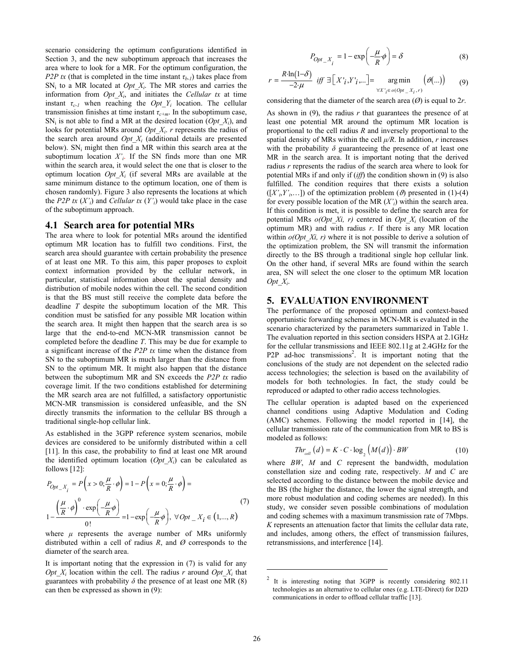scenario considering the optimum configurations identified in Section 3, and the new suboptimum approach that increases the area where to look for a MR. For the optimum configuration, the *P2P tx* (that is completed in the time instant  $\tau_{h-1}$ ) takes place from  $SN_i$  to a MR located at  $Opt_X X_i$ . The MR stores and carries the information from *Opt\_Xi*, and initiates the *Cellular tx* at time instant  $\tau_{c-1}$  when reaching the *Opt\_Y<sub>i</sub>* location. The cellular transmission finishes at time instant *τc+m*. In the suboptimum case,  $SN_i$  is not able to find a MR at the desired location (*Opt X<sub>i</sub>*), and looks for potential MRs around *Opt X<sub>i</sub>*. *r* represents the radius of the search area around  $Opt\ X_i$  (additional details are presented below).  $SN_i$  might then find a MR within this search area at the suboptimum location  $X'_{i}$ . If the SN finds more than one MR within the search area, it would select the one that is closer to the optimum location *Opt\_Xi* (if several MRs are available at the same minimum distance to the optimum location, one of them is chosen randomly). Figure 3 also represents the locations at which the *P2P tx*  $(X'_i)$  and *Cellular tx*  $(Y'_i)$  would take place in the case of the suboptimum approach.

#### **4.1 Search area for potential MRs**

The area where to look for potential MRs around the identified optimum MR location has to fulfill two conditions. First, the search area should guarantee with certain probability the presence of at least one MR. To this aim, this paper proposes to exploit context information provided by the cellular network, in particular, statistical information about the spatial density and distribution of mobile nodes within the cell. The second condition is that the BS must still receive the complete data before the deadline *T* despite the suboptimum location of the MR*.* This condition must be satisfied for any possible MR location within the search area. It might then happen that the search area is so large that the end-to-end MCN-MR transmission cannot be completed before the deadline *T*. This may be due for example to a significant increase of the *P2P tx* time when the distance from SN to the suboptimum MR is much larger than the distance from SN to the optimum MR. It might also happen that the distance between the suboptimum MR and SN exceeds the *P2P tx* radio coverage limit. If the two conditions established for determining the MR search area are not fulfilled, a satisfactory opportunistic MCN-MR transmission is considered unfeasible, and the SN directly transmits the information to the cellular BS through a traditional single-hop cellular link.

As established in the 3GPP reference system scenarios, mobile devices are considered to be uniformly distributed within a cell [11]. In this case, the probability to find at least one MR around the identified optimum location  $(Opt_X)$  can be calculated as follows [12]:

$$
P_{Opt\_X_i} = P\left(x > 0; \frac{\mu}{R} \cdot \phi\right) = 1 - P\left(x = 0; \frac{\mu}{R} \cdot \phi\right) =
$$
  

$$
1 - \frac{\left(\frac{\mu}{R} \cdot \phi\right)^0 \cdot \exp\left(-\frac{\mu}{R} \phi\right)}{0!} = 1 - \exp\left(-\frac{\mu}{R} \phi\right), \ \forall \, Opt\_X_i \in (1, ..., R)
$$
 (7)

where  $\mu$  represents the average number of MRs uniformly distributed within a cell of radius  $R$ , and  $\varnothing$  corresponds to the diameter of the search area.

It is important noting that the expression in (7) is valid for any *Opt X<sub>i</sub>* location within the cell. The radius *r* around *Opt X<sub>i</sub>* that guarantees with probability  $\delta$  the presence of at least one MR (8) can then be expressed as shown in (9):

$$
P_{Opt\_X_i} = 1 - \exp\left(-\frac{\mu}{R}\phi\right) = \delta
$$
 (8)

$$
r = \frac{R \cdot \ln(1-\delta)}{-2 \cdot \mu} \quad \text{iff} \quad \exists \left[ X'_{i}, Y'_{i}, \ldots \right] = \underset{\forall X'_{i} \in o(Opt_{-}X_{i}, r)}{\arg \min} \left( \vartheta(\ldots) \right) \tag{9}
$$

considering that the diameter of the search area (*Ø*) is equal to 2*r*.

As shown in (9), the radius *r* that guarantees the presence of at least one potential MR around the optimum MR location is proportional to the cell radius *R* and inversely proportional to the spatial density of MRs within the cell *μ/R*. In addition, *r* increases with the probability  $\delta$  guaranteeing the presence of at least one MR in the search area. It is important noting that the derived radius *r* represents the radius of the search area where to look for potential MRs if and only if (*iff*) the condition shown in (9) is also fulfilled. The condition requires that there exists a solution  $([X', Y', \dots])$  of the optimization problem ( $\vartheta$ ) presented in (1)-(4) for every possible location of the MR (*X'i*) within the search area. If this condition is met, it is possible to define the search area for potential MRs *o(Opt\_Xi, r)* centered in *Opt\_Xi* (location of the optimum MR) and with radius *r*. If there is any MR location within  $o(Opt\ Xi, r)$  where it is not possible to derive a solution of the optimization problem, the SN will transmit the information directly to the BS through a traditional single hop cellular link. On the other hand, if several MRs are found within the search area, SN will select the one closer to the optimum MR location *Opt\_Xi*.

## **5. EVALUATION ENVIRONMENT**

The performance of the proposed optimum and context-based opportunistic forwarding schemes in MCN-MR is evaluated in the scenario characterized by the parameters summarized in Table 1. The evaluation reported in this section considers HSPA at 2.1GHz for the cellular transmissions and IEEE 802.11g at 2.4GHz for the P2P ad-hoc transmissions<sup>2</sup>. It is important noting that the conclusions of the study are not dependent on the selected radio access technologies; the selection is based on the availability of models for both technologies. In fact, the study could be reproduced or adapted to other radio access technologies.

The cellular operation is adapted based on the experienced channel conditions using Adaptive Modulation and Coding (AMC) schemes. Following the model reported in [14], the cellular transmission rate of the communication from MR to BS is modeled as follows:

$$
Thr_{cell}(d) = K \cdot C \cdot \log_2(M(d)) \cdot BW \tag{10}
$$

where *BW*, *M* and *C* represent the bandwidth, modulation constellation size and coding rate, respectively. *M* and *C* are selected according to the distance between the mobile device and the BS (the higher the distance, the lower the signal strength, and more robust modulation and coding schemes are needed). In this study, we consider seven possible combinations of modulation and coding schemes with a maximum transmission rate of 7Mbps. *K* represents an attenuation factor that limits the cellular data rate, and includes, among others, the effect of transmission failures, retransmissions, and interference [14].

1

It is interesting noting that 3GPP is recently considering 802.11 technologies as an alternative to cellular ones (e.g. LTE-Direct) for D2D communications in order to offload cellular traffic [13].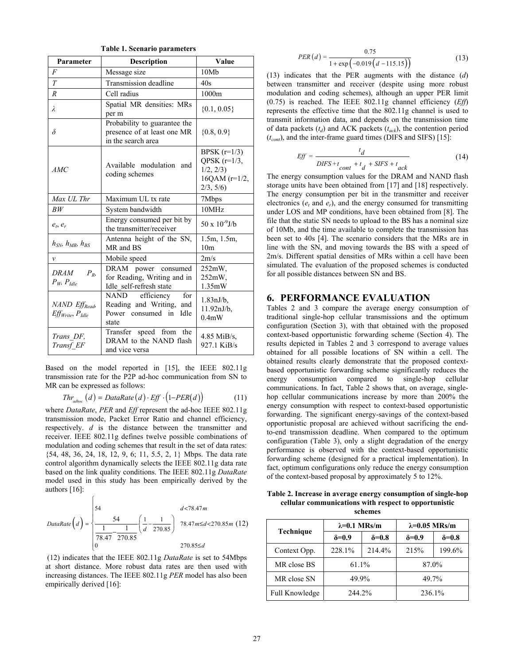**Table 1. Scenario parameters** 

| Parameter                                                              | Description                                                                                                                        | Value                                                                         |
|------------------------------------------------------------------------|------------------------------------------------------------------------------------------------------------------------------------|-------------------------------------------------------------------------------|
| $\overline{F}$                                                         | Message size                                                                                                                       | 10Mb                                                                          |
| T                                                                      | Transmission deadline                                                                                                              | 40s                                                                           |
| $\boldsymbol{R}$                                                       | Cell radius                                                                                                                        | 1000m                                                                         |
| λ                                                                      | Spatial MR densities: MRs<br>per m                                                                                                 | $\{0.1, 0.05\}$                                                               |
| $\delta$                                                               | Probability to guarantee the<br>presence of at least one MR<br>in the search area                                                  | ${0.8, 0.9}$                                                                  |
| AMC                                                                    | Available modulation<br>and<br>coding schemes                                                                                      | BPSK $(r=1/3)$<br>OPSK $(r=1/3)$ ,<br>1/2, 2/3<br>16QAM $(r=1/2,$<br>2/3, 5/6 |
| Max UL Thr                                                             | Maximum UL tx rate                                                                                                                 | 7Mbps                                                                         |
| BW                                                                     | System bandwidth                                                                                                                   | 10MHz                                                                         |
| $e_t, e_r$                                                             | Energy consumed per bit by<br>the transmitter/receiver<br>Antenna height of the SN,<br>$h_{SN}$ , $h_{MR}$ , $h_{RS}$<br>MR and BS |                                                                               |
|                                                                        |                                                                                                                                    |                                                                               |
| v                                                                      | Mobile speed                                                                                                                       | 2m/s                                                                          |
| <i>DRAM</i><br>$P_{R}$<br>$P_W$ , $P_{\text{Idle}}$                    | DRAM power consumed<br>for Reading, Writing and in<br>Idle self-refresh state                                                      | 252mW,<br>252mW,<br>1.35mW                                                    |
| NAND Eff <sub>Read</sub> ,<br>Eff <sub>Write</sub> , P <sub>Idle</sub> | NAND efficiency<br>for<br>Reading and Writing, and<br>Idle<br>Power consumed in<br>state                                           | $1.83 \text{nJ/b}$ ,<br>$11.92nJ/b$ ,<br>$0.4m$ W                             |
| Trans DF,<br>Transf EF                                                 | Transfer speed from the<br>DRAM to the NAND flash<br>and vice versa                                                                | $4.85$ MiB/s,<br>927.1 KiB/s                                                  |

Based on the model reported in [15], the IEEE 802.11g transmission rate for the P2P ad-hoc communication from SN to MR can be expressed as follows:

$$
Thr_{\text{adhoc}}(d) = DataRate(d) \cdot Eff \cdot (1-PER(d)) \tag{11}
$$

where *DataRate*, *PER* and *Eff* represent the ad-hoc IEEE 802.11g transmission mode, Packet Error Ratio and channel efficiency, respectively. *d* is the distance between the transmitter and receiver. IEEE 802.11g defines twelve possible combinations of modulation and coding schemes that result in the set of data rates: {54, 48, 36, 24, 18, 12, 9, 6; 11, 5.5, 2, 1} Mbps. The data rate control algorithm dynamically selects the IEEE 802.11g data rate based on the link quality conditions. The IEEE 802.11g *DataRate*  model used in this study has been empirically derived by the authors [16]:

DataRate
$$
DataRate\left(d\right) = \begin{cases} 54 & d < 78.47m \\ \frac{1}{78.47} - \frac{1}{270.85} & 78.47m \le d < 270.85m \\ 0 & 270.85 \le d \end{cases}
$$
 (12)

 $\sqrt{ }$ 

 (12) indicates that the IEEE 802.11g *DataRate* is set to 54Mbps at short distance. More robust data rates are then used with increasing distances. The IEEE 802.11g *PER* model has also been empirically derived [16]:

$$
PER(d) = \frac{0.75}{1 + \exp(-0.019(d - 115.15))}
$$
(13)

(13) indicates that the PER augments with the distance (*d*) between transmitter and receiver (despite using more robust modulation and coding schemes), although an upper PER limit (0.75) is reached. The IEEE 802.11g channel efficiency (*Eff*) represents the effective time that the 802.11g channel is used to transmit information data, and depends on the transmission time of data packets  $(t_d)$  and ACK packets  $(t_{ack})$ , the contention period  $(t_{cont})$ , and the inter-frame guard times (DIFS and SIFS) [15]:

$$
Eff = \frac{t_d}{DIFS + t_{cont} + t_d + SIFS + t_{ack}}
$$
(14)

The energy consumption values for the DRAM and NAND flash storage units have been obtained from [17] and [18] respectively. The energy consumption per bit in the transmitter and receiver electronics ( $e_t$  and  $e_t$ ), and the energy consumed for transmitting under LOS and MP conditions, have been obtained from [8]. The file that the static SN needs to upload to the BS has a nominal size of 10Mb, and the time available to complete the transmission has been set to 40s [4]. The scenario considers that the MRs are in line with the SN, and moving towards the BS with a speed of 2m/s. Different spatial densities of MRs within a cell have been simulated. The evaluation of the proposed schemes is conducted for all possible distances between SN and BS.

#### **6. PERFORMANCE EVALUATION**

Tables 2 and 3 compare the average energy consumption of traditional single-hop cellular transmissions and the optimum configuration (Section 3), with that obtained with the proposed context-based opportunistic forwarding scheme (Section 4). The results depicted in Tables 2 and 3 correspond to average values obtained for all possible locations of SN within a cell. The obtained results clearly demonstrate that the proposed contextbased opportunistic forwarding scheme significantly reduces the energy consumption compared to single-hop cellular communications. In fact, Table 2 shows that, on average, singlehop cellular communications increase by more than 200% the energy consumption with respect to context-based opportunistic forwarding. The significant energy-savings of the context-based opportunistic proposal are achieved without sacrificing the endto-end transmission deadline. When compared to the optimum configuration (Table 3), only a slight degradation of the energy performance is observed with the context-based opportunistic forwarding scheme (designed for a practical implementation). In fact, optimum configurations only reduce the energy consumption of the context-based proposal by approximately 5 to 12%.

**Table 2. Increase in average energy consumption of single-hop cellular communications with respect to opportunistic schemes** 

|                | $\lambda = 0.1$ MRs/m |                | $\lambda = 0.05$ MRs/m |                |
|----------------|-----------------------|----------------|------------------------|----------------|
| Technique      | $\delta = 0.9$        | $\delta = 0.8$ | $\delta = 0.9$         | $\delta = 0.8$ |
| Context Opp.   | 228.1%                | 214.4%         | 215%                   | 199.6%         |
| MR close BS    | 61.1%                 |                | 87.0%                  |                |
| MR close SN    | 49.9%                 |                | 49.7%                  |                |
| Full Knowledge | 244.2%                |                | 236.1%                 |                |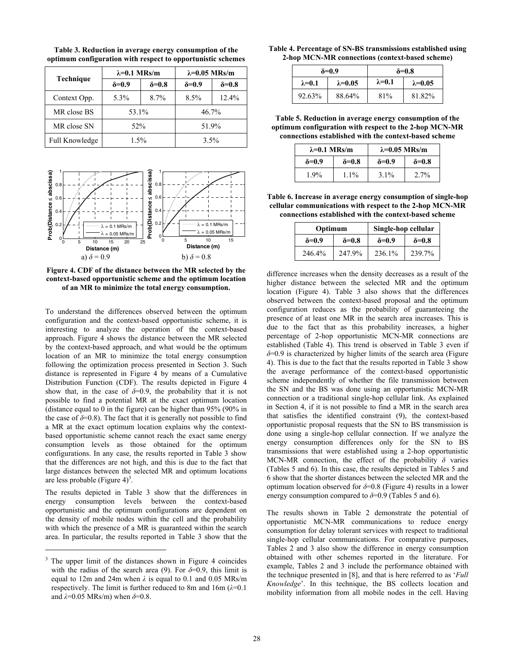|                | $\lambda = 0.1$ MRs/m |                | $\lambda = 0.05$ MRs/m |                |
|----------------|-----------------------|----------------|------------------------|----------------|
| Technique      | $\delta = 0.9$        | $\delta = 0.8$ | $\delta = 0.9$         | $\delta = 0.8$ |
| Context Opp.   | 5.3%                  | 8.7%           | 8.5%                   | 12.4%          |
| MR close BS    | 53.1%                 |                | 46.7%                  |                |
| MR close SN    | 52%                   |                | 51.9%                  |                |
| Full Knowledge | 1.5%                  |                | 3.5%                   |                |

**Table 3. Reduction in average energy consumption of the optimum configuration with respect to opportunistic schemes** 



**Figure 4. CDF of the distance between the MR selected by the context-based opportunistic scheme and the optimum location of an MR to minimize the total energy consumption.** 

To understand the differences observed between the optimum configuration and the context-based opportunistic scheme, it is interesting to analyze the operation of the context-based approach. Figure 4 shows the distance between the MR selected by the context-based approach, and what would be the optimum location of an MR to minimize the total energy consumption following the optimization process presented in Section 3. Such distance is represented in Figure 4 by means of a Cumulative Distribution Function (CDF). The results depicted in Figure 4 show that, in the case of  $\delta=0.9$ , the probability that it is not possible to find a potential MR at the exact optimum location (distance equal to 0 in the figure) can be higher than 95% (90% in the case of  $\delta$ =0.8). The fact that it is generally not possible to find a MR at the exact optimum location explains why the contextbased opportunistic scheme cannot reach the exact same energy consumption levels as those obtained for the optimum configurations. In any case, the results reported in Table 3 show that the differences are not high, and this is due to the fact that large distances between the selected MR and optimum locations are less probable (Figure  $4)^3$ .

The results depicted in Table 3 show that the differences in energy consumption levels between the context-based opportunistic and the optimum configurations are dependent on the density of mobile nodes within the cell and the probability with which the presence of a MR is guaranteed within the search area. In particular, the results reported in Table 3 show that the

-

| Table 4. Percentage of SN-BS transmissions established using |  |
|--------------------------------------------------------------|--|
| 2-hop MCN-MR connections (context-based scheme)              |  |

| $\delta = 0.9$  |                  | $\delta = 0.8$  |                  |
|-----------------|------------------|-----------------|------------------|
| $\lambda = 0.1$ | $\lambda = 0.05$ | $\lambda = 0.1$ | $\lambda = 0.05$ |
| 92.63%          | 88.64%           | 81%             | 81.82%           |

**Table 5. Reduction in average energy consumption of the optimum configuration with respect to the 2-hop MCN-MR connections established with the context-based scheme** 

| $\lambda = 0.1$ MRs/m |                | $\lambda = 0.05$ MRs/m |                |
|-----------------------|----------------|------------------------|----------------|
| $\delta = 0.9$        | $\delta = 0.8$ | $\delta = 0.9$         | $\delta = 0.8$ |
| $1.9\%$               | $1.1\%$        | $3.1\%$                | 2.7%           |

**Table 6. Increase in average energy consumption of single-hop cellular communications with respect to the 2-hop MCN-MR connections established with the context-based scheme** 

| Optimum        |                | Single-hop cellular |                |
|----------------|----------------|---------------------|----------------|
| $\delta = 0.9$ | $\delta = 0.8$ | $\delta = 0.9$      | $\delta = 0.8$ |
| 246.4%         | 247.9%         | 236.1%              | 239.7%         |

difference increases when the density decreases as a result of the higher distance between the selected MR and the optimum location (Figure 4). Table 3 also shows that the differences observed between the context-based proposal and the optimum configuration reduces as the probability of guaranteeing the presence of at least one MR in the search area increases. This is due to the fact that as this probability increases, a higher percentage of 2-hop opportunistic MCN-MR connections are established (Table 4). This trend is observed in Table 3 even if *δ*=0.9 is characterized by higher limits of the search area (Figure 4). This is due to the fact that the results reported in Table 3 show the average performance of the context-based opportunistic scheme independently of whether the file transmission between the SN and the BS was done using an opportunistic MCN-MR connection or a traditional single-hop cellular link. As explained in Section 4, if it is not possible to find a MR in the search area that satisfies the identified constraint (9), the context-based opportunistic proposal requests that the SN to BS transmission is done using a single-hop cellular connection. If we analyze the energy consumption differences only for the SN to BS transmissions that were established using a 2-hop opportunistic MCN-MR connection, the effect of the probability *δ* varies (Tables 5 and 6). In this case, the results depicted in Tables 5 and 6 show that the shorter distances between the selected MR and the optimum location observed for  $\delta$ =0.8 (Figure 4) results in a lower energy consumption compared to  $\delta$ =0.9 (Tables 5 and 6).

The results shown in Table 2 demonstrate the potential of opportunistic MCN-MR communications to reduce energy consumption for delay tolerant services with respect to traditional single-hop cellular communications. For comparative purposes, Tables 2 and 3 also show the difference in energy consumption obtained with other schemes reported in the literature. For example, Tables 2 and 3 include the performance obtained with the technique presented in [8], and that is here referred to as '*Full Knowledge*'. In this technique, the BS collects location and mobility information from all mobile nodes in the cell. Having

<sup>&</sup>lt;sup>3</sup> The upper limit of the distances shown in Figure 4 coincides with the radius of the search area (9). For  $\delta = 0.9$ , this limit is equal to 12m and 24m when *λ* is equal to 0.1 and 0.05 MRs/m respectively. The limit is further reduced to 8m and 16m (*λ*=0.1 and *λ*=0.05 MRs/m) when *δ*=0.8.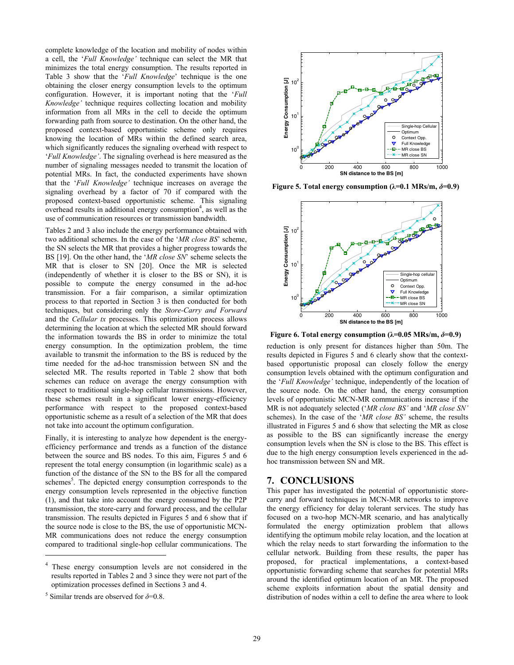complete knowledge of the location and mobility of nodes within a cell, the '*Full Knowledge'* technique can select the MR that minimizes the total energy consumption. The results reported in Table 3 show that the '*Full Knowledge*' technique is the one obtaining the closer energy consumption levels to the optimum configuration. However, it is important noting that the '*Full Knowledge'* technique requires collecting location and mobility information from all MRs in the cell to decide the optimum forwarding path from source to destination. On the other hand, the proposed context-based opportunistic scheme only requires knowing the location of MRs within the defined search area, which significantly reduces the signaling overhead with respect to '*Full Knowledge'*. The signaling overhead is here measured as the number of signaling messages needed to transmit the location of potential MRs. In fact, the conducted experiments have shown that the '*Full Knowledge'* technique increases on average the signaling overhead by a factor of 70 if compared with the proposed context-based opportunistic scheme. This signaling overhead results in additional energy consumption<sup>4</sup>, as well as the use of communication resources or transmission bandwidth.

Tables 2 and 3 also include the energy performance obtained with two additional schemes. In the case of the '*MR close BS*' scheme, the SN selects the MR that provides a higher progress towards the BS [19]. On the other hand, the '*MR close SN*' scheme selects the MR that is closer to SN [20]. Once the MR is selected (independently of whether it is closer to the BS or SN), it is possible to compute the energy consumed in the ad-hoc transmission. For a fair comparison, a similar optimization process to that reported in Section 3 is then conducted for both techniques, but considering only the *Store-Carry and Forward* and the *Cellular tx* processes. This optimization process allows determining the location at which the selected MR should forward the information towards the BS in order to minimize the total energy consumption. In the optimization problem, the time available to transmit the information to the BS is reduced by the time needed for the ad-hoc transmission between SN and the selected MR. The results reported in Table 2 show that both schemes can reduce on average the energy consumption with respect to traditional single-hop cellular transmissions. However, these schemes result in a significant lower energy-efficiency performance with respect to the proposed context-based opportunistic scheme as a result of a selection of the MR that does not take into account the optimum configuration.

Finally, it is interesting to analyze how dependent is the energyefficiency performance and trends as a function of the distance between the source and BS nodes. To this aim, Figures 5 and 6 represent the total energy consumption (in logarithmic scale) as a function of the distance of the SN to the BS for all the compared schemes<sup>5</sup>. The depicted energy consumption corresponds to the energy consumption levels represented in the objective function (1), and that take into account the energy consumed by the P2P transmission, the store-carry and forward process, and the cellular transmission. The results depicted in Figures 5 and 6 show that if the source node is close to the BS, the use of opportunistic MCN-MR communications does not reduce the energy consumption compared to traditional single-hop cellular communications. The

4 These energy consumption levels are not considered in the results reported in Tables 2 and 3 since they were not part of the optimization processes defined in Sections 3 and 4.

-



**Figure 5. Total energy consumption (** $\lambda$ **=0.1 MRs/m,**  $\delta$ **=0.9)** 



**Figure 6. Total energy consumption (** $\lambda$ **=0.05 MRs/m,**  $\delta$ **=0.9)** 

reduction is only present for distances higher than 50m. The results depicted in Figures 5 and 6 clearly show that the contextbased opportunistic proposal can closely follow the energy consumption levels obtained with the optimum configuration and the '*Full Knowledge'* technique, independently of the location of the source node. On the other hand, the energy consumption levels of opportunistic MCN-MR communications increase if the MR is not adequately selected ('*MR close BS'* and '*MR close SN'* schemes). In the case of the '*MR close BS'* scheme, the results illustrated in Figures 5 and 6 show that selecting the MR as close as possible to the BS can significantly increase the energy consumption levels when the SN is close to the BS. This effect is due to the high energy consumption levels experienced in the adhoc transmission between SN and MR.

#### **7. CONCLUSIONS**

This paper has investigated the potential of opportunistic storecarry and forward techniques in MCN-MR networks to improve the energy efficiency for delay tolerant services. The study has focused on a two-hop MCN-MR scenario, and has analytically formulated the energy optimization problem that allows identifying the optimum mobile relay location, and the location at which the relay needs to start forwarding the information to the cellular network. Building from these results, the paper has proposed, for practical implementations, a context-based opportunistic forwarding scheme that searches for potential MRs around the identified optimum location of an MR. The proposed scheme exploits information about the spatial density and distribution of nodes within a cell to define the area where to look

<sup>&</sup>lt;sup>5</sup> Similar trends are observed for  $\delta$ =0.8.